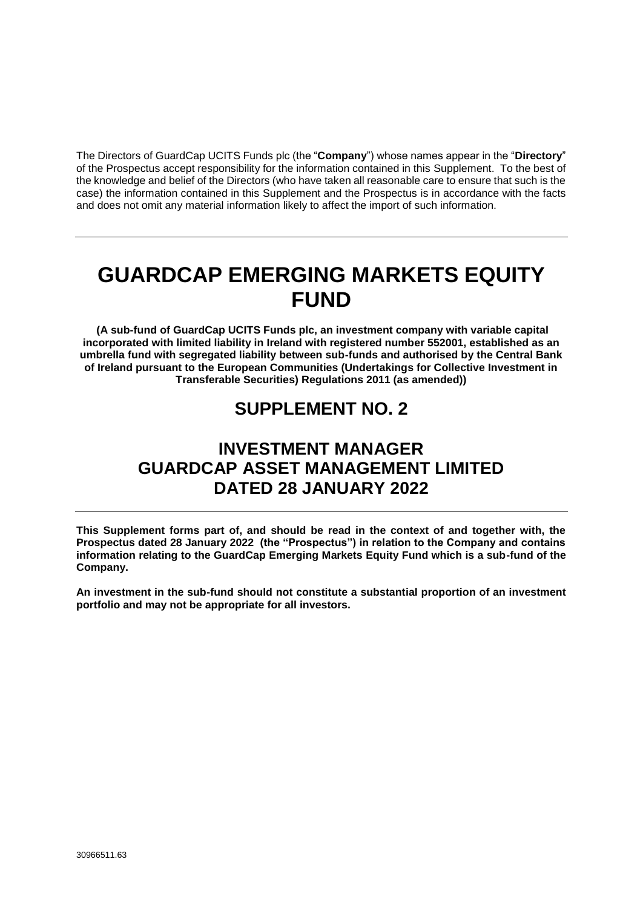The Directors of GuardCap UCITS Funds plc (the "**Company**") whose names appear in the "**Directory**" of the Prospectus accept responsibility for the information contained in this Supplement. To the best of the knowledge and belief of the Directors (who have taken all reasonable care to ensure that such is the case) the information contained in this Supplement and the Prospectus is in accordance with the facts and does not omit any material information likely to affect the import of such information.

# **GUARDCAP EMERGING MARKETS EQUITY FUND**

**(A sub-fund of GuardCap UCITS Funds plc, an investment company with variable capital incorporated with limited liability in Ireland with registered number 552001, established as an umbrella fund with segregated liability between sub-funds and authorised by the Central Bank of Ireland pursuant to the European Communities (Undertakings for Collective Investment in Transferable Securities) Regulations 2011 (as amended))**

# **SUPPLEMENT NO. 2**

# **INVESTMENT MANAGER GUARDCAP ASSET MANAGEMENT LIMITED DATED 28 JANUARY 2022**

**This Supplement forms part of, and should be read in the context of and together with, the Prospectus dated 28 January 2022 (the "Prospectus") in relation to the Company and contains information relating to the GuardCap Emerging Markets Equity Fund which is a sub-fund of the Company.** 

**An investment in the sub-fund should not constitute a substantial proportion of an investment portfolio and may not be appropriate for all investors.**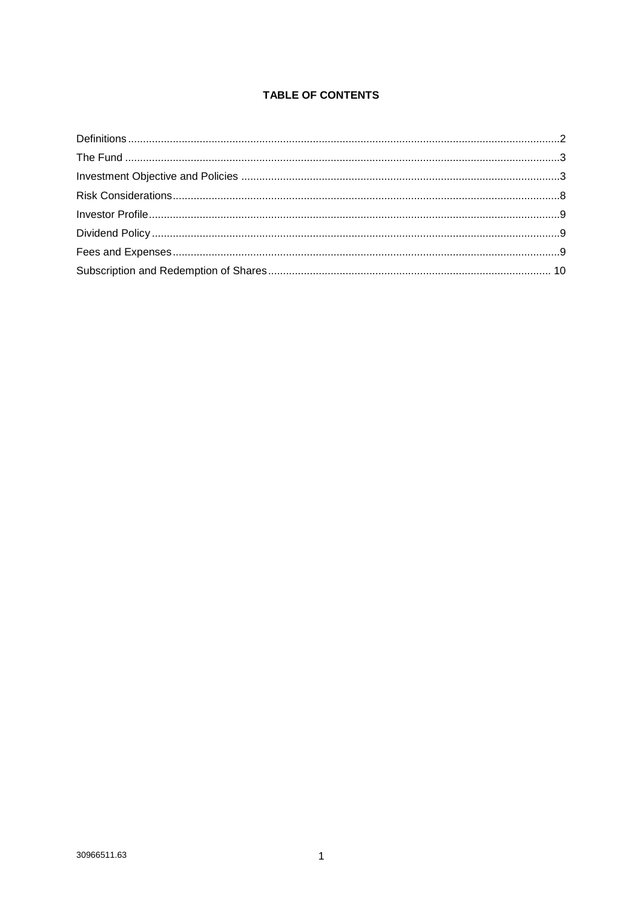# **TABLE OF CONTENTS**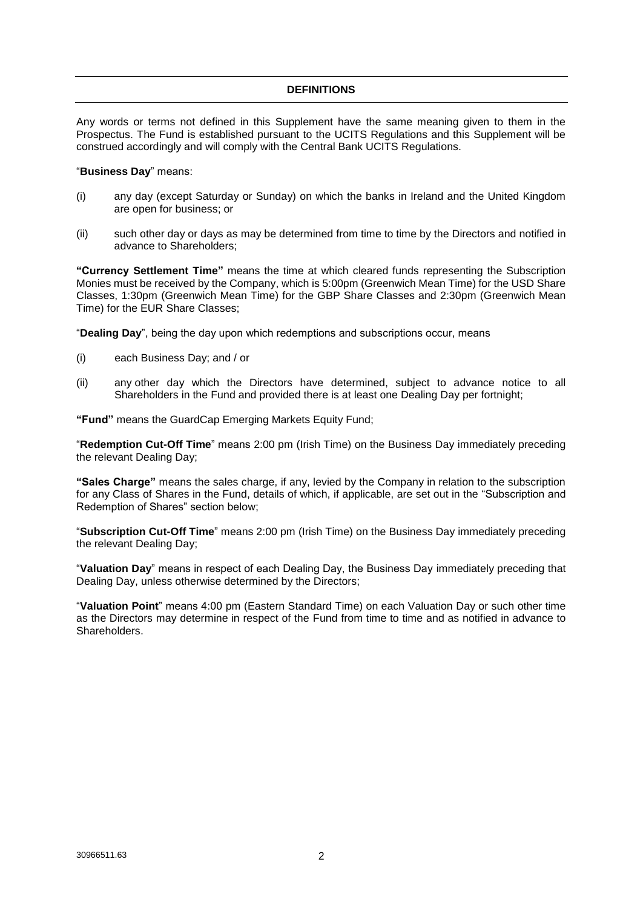# **DEFINITIONS**

<span id="page-2-0"></span>Any words or terms not defined in this Supplement have the same meaning given to them in the Prospectus. The Fund is established pursuant to the UCITS Regulations and this Supplement will be construed accordingly and will comply with the Central Bank UCITS Regulations.

#### "**Business Day**" means:

- (i) any day (except Saturday or Sunday) on which the banks in Ireland and the United Kingdom are open for business; or
- (ii) such other day or days as may be determined from time to time by the Directors and notified in advance to Shareholders;

**"Currency Settlement Time"** means the time at which cleared funds representing the Subscription Monies must be received by the Company, which is 5:00pm (Greenwich Mean Time) for the USD Share Classes, 1:30pm (Greenwich Mean Time) for the GBP Share Classes and 2:30pm (Greenwich Mean Time) for the EUR Share Classes;

"**Dealing Day**", being the day upon which redemptions and subscriptions occur, means

- (i) each Business Day; and / or
- (ii) any other day which the Directors have determined, subject to advance notice to all Shareholders in the Fund and provided there is at least one Dealing Day per fortnight;

**"Fund"** means the GuardCap Emerging Markets Equity Fund;

"**Redemption Cut-Off Time**" means 2:00 pm (Irish Time) on the Business Day immediately preceding the relevant Dealing Day;

**"Sales Charge"** means the sales charge, if any, levied by the Company in relation to the subscription for any Class of Shares in the Fund, details of which, if applicable, are set out in the "Subscription and Redemption of Shares" section below;

"**Subscription Cut-Off Time**" means 2:00 pm (Irish Time) on the Business Day immediately preceding the relevant Dealing Day;

"**Valuation Day**" means in respect of each Dealing Day, the Business Day immediately preceding that Dealing Day, unless otherwise determined by the Directors;

"**Valuation Point**" means 4:00 pm (Eastern Standard Time) on each Valuation Day or such other time as the Directors may determine in respect of the Fund from time to time and as notified in advance to Shareholders.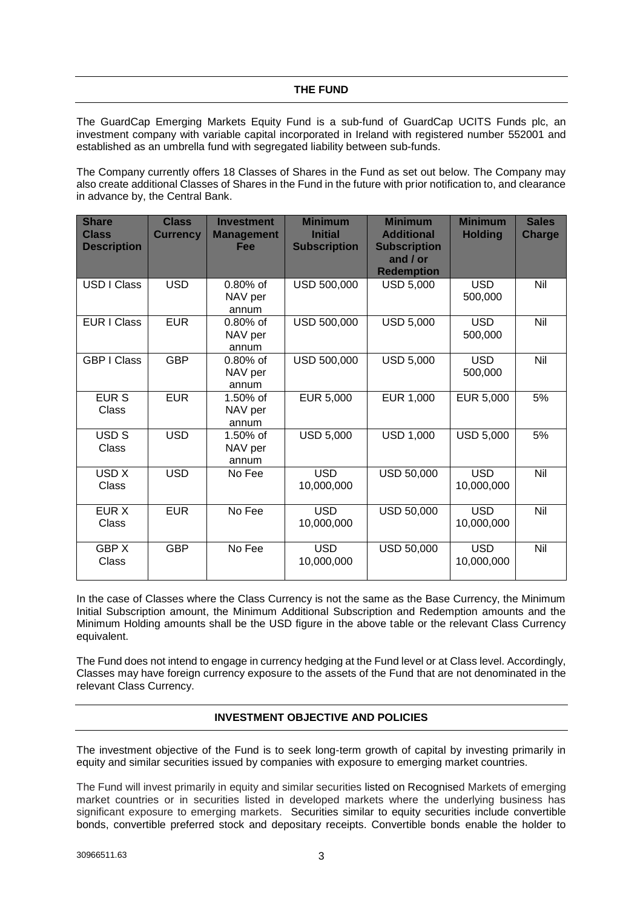<span id="page-3-0"></span>The GuardCap Emerging Markets Equity Fund is a sub-fund of GuardCap UCITS Funds plc, an investment company with variable capital incorporated in Ireland with registered number 552001 and established as an umbrella fund with segregated liability between sub-funds.

The Company currently offers 18 Classes of Shares in the Fund as set out below. The Company may also create additional Classes of Shares in the Fund in the future with prior notification to, and clearance in advance by, the Central Bank.

| <b>Share</b><br><b>Class</b><br><b>Description</b> | <b>Class</b><br><b>Currency</b> | <b>Investment</b><br><b>Management</b><br>Fee | <b>Minimum</b><br><b>Initial</b><br><b>Subscription</b> | <b>Minimum</b><br><b>Additional</b><br><b>Subscription</b> | <b>Minimum</b><br><b>Holding</b> | <b>Sales</b><br><b>Charge</b> |
|----------------------------------------------------|---------------------------------|-----------------------------------------------|---------------------------------------------------------|------------------------------------------------------------|----------------------------------|-------------------------------|
|                                                    |                                 |                                               |                                                         | and / or<br><b>Redemption</b>                              |                                  |                               |
| USD I Class                                        | <b>USD</b>                      | $0.80\%$ of<br>NAV per<br>annum               | USD 500,000                                             | <b>USD 5,000</b>                                           | <b>USD</b><br>500,000            | Nil                           |
| <b>EUR I Class</b>                                 | <b>EUR</b>                      | $0.80\%$ of<br>NAV per<br>annum               | USD 500,000                                             | <b>USD 5,000</b>                                           | <b>USD</b><br>500,000            | Nil                           |
| <b>GBP I Class</b>                                 | <b>GBP</b>                      | $0.80\%$ of<br>NAV per<br>annum               | USD 500,000                                             | <b>USD 5,000</b>                                           | <b>USD</b><br>500,000            | Nil                           |
| <b>EURS</b><br>Class                               | <b>EUR</b>                      | 1.50% of<br>NAV per<br>annum                  | EUR 5,000                                               | EUR 1,000                                                  | EUR 5,000                        | 5%                            |
| USD <sub>S</sub><br>Class                          | <b>USD</b>                      | 1.50% of<br>NAV per<br>annum                  | <b>USD 5,000</b>                                        | <b>USD 1,000</b>                                           | <b>USD 5,000</b>                 | 5%                            |
| USD <sub>X</sub><br>Class                          | <b>USD</b>                      | No Fee                                        | <b>USD</b><br>10,000,000                                | USD 50,000                                                 | <b>USD</b><br>10,000,000         | Nil                           |
| EUR X<br>Class                                     | <b>EUR</b>                      | No Fee                                        | <b>USD</b><br>10,000,000                                | USD 50,000                                                 | <b>USD</b><br>10,000,000         | Nil                           |
| <b>GBPX</b><br>Class                               | <b>GBP</b>                      | No Fee                                        | <b>USD</b><br>10,000,000                                | USD 50,000                                                 | <b>USD</b><br>10,000,000         | Nil                           |

In the case of Classes where the Class Currency is not the same as the Base Currency, the Minimum Initial Subscription amount, the Minimum Additional Subscription and Redemption amounts and the Minimum Holding amounts shall be the USD figure in the above table or the relevant Class Currency equivalent.

The Fund does not intend to engage in currency hedging at the Fund level or at Class level. Accordingly, Classes may have foreign currency exposure to the assets of the Fund that are not denominated in the relevant Class Currency.

# **INVESTMENT OBJECTIVE AND POLICIES**

<span id="page-3-1"></span>The investment objective of the Fund is to seek long-term growth of capital by investing primarily in equity and similar securities issued by companies with exposure to emerging market countries.

The Fund will invest primarily in equity and similar securities listed on Recognised Markets of emerging market countries or in securities listed in developed markets where the underlying business has significant exposure to emerging markets. Securities similar to equity securities include convertible bonds, convertible preferred stock and depositary receipts. Convertible bonds enable the holder to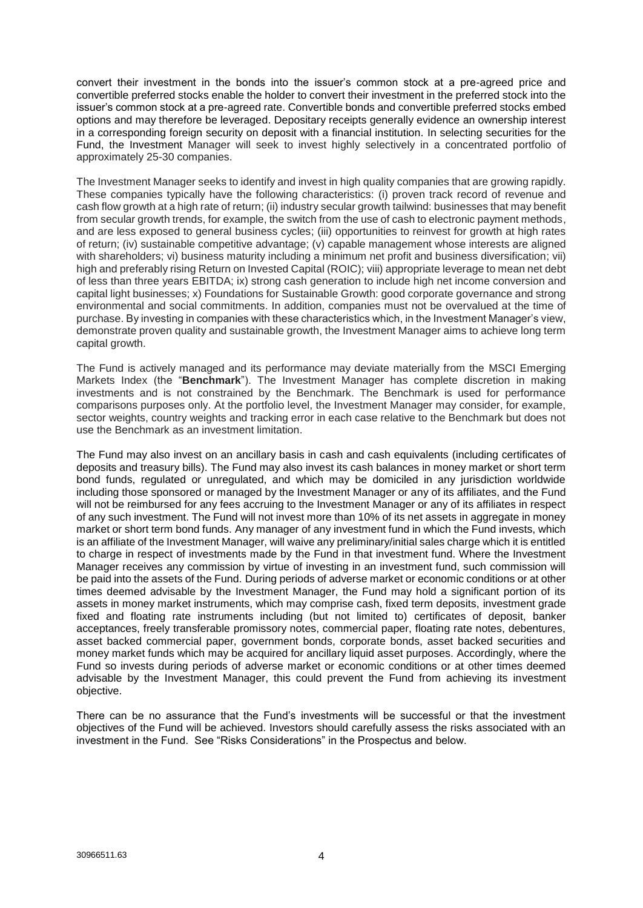convert their investment in the bonds into the issuer's common stock at a pre-agreed price and convertible preferred stocks enable the holder to convert their investment in the preferred stock into the issuer's common stock at a pre-agreed rate. Convertible bonds and convertible preferred stocks embed options and may therefore be leveraged. Depositary receipts generally evidence an ownership interest in a corresponding foreign security on deposit with a financial institution. In selecting securities for the Fund, the Investment Manager will seek to invest highly selectively in a concentrated portfolio of approximately 25-30 companies.

The Investment Manager seeks to identify and invest in high quality companies that are growing rapidly. These companies typically have the following characteristics: (i) proven track record of revenue and cash flow growth at a high rate of return; (ii) industry secular growth tailwind: businesses that may benefit from secular growth trends, for example, the switch from the use of cash to electronic payment methods, and are less exposed to general business cycles; (iii) opportunities to reinvest for growth at high rates of return; (iv) sustainable competitive advantage; (v) capable management whose interests are aligned with shareholders; vi) business maturity including a minimum net profit and business diversification; vii) high and preferably rising Return on Invested Capital (ROIC); viii) appropriate leverage to mean net debt of less than three years EBITDA; ix) strong cash generation to include high net income conversion and capital light businesses; x) Foundations for Sustainable Growth: good corporate governance and strong environmental and social commitments. In addition, companies must not be overvalued at the time of purchase. By investing in companies with these characteristics which, in the Investment Manager's view, demonstrate proven quality and sustainable growth, the Investment Manager aims to achieve long term capital growth.

The Fund is actively managed and its performance may deviate materially from the MSCI Emerging Markets Index (the "**Benchmark**"). The Investment Manager has complete discretion in making investments and is not constrained by the Benchmark. The Benchmark is used for performance comparisons purposes only. At the portfolio level, the Investment Manager may consider, for example, sector weights, country weights and tracking error in each case relative to the Benchmark but does not use the Benchmark as an investment limitation.

The Fund may also invest on an ancillary basis in cash and cash equivalents (including certificates of deposits and treasury bills). The Fund may also invest its cash balances in money market or short term bond funds, regulated or unregulated, and which may be domiciled in any jurisdiction worldwide including those sponsored or managed by the Investment Manager or any of its affiliates, and the Fund will not be reimbursed for any fees accruing to the Investment Manager or any of its affiliates in respect of any such investment. The Fund will not invest more than 10% of its net assets in aggregate in money market or short term bond funds. Any manager of any investment fund in which the Fund invests, which is an affiliate of the Investment Manager, will waive any preliminary/initial sales charge which it is entitled to charge in respect of investments made by the Fund in that investment fund. Where the Investment Manager receives any commission by virtue of investing in an investment fund, such commission will be paid into the assets of the Fund. During periods of adverse market or economic conditions or at other times deemed advisable by the Investment Manager, the Fund may hold a significant portion of its assets in money market instruments, which may comprise cash, fixed term deposits, investment grade fixed and floating rate instruments including (but not limited to) certificates of deposit, banker acceptances, freely transferable promissory notes, commercial paper, floating rate notes, debentures, asset backed commercial paper, government bonds, corporate bonds, asset backed securities and money market funds which may be acquired for ancillary liquid asset purposes. Accordingly, where the Fund so invests during periods of adverse market or economic conditions or at other times deemed advisable by the Investment Manager, this could prevent the Fund from achieving its investment objective.

There can be no assurance that the Fund's investments will be successful or that the investment objectives of the Fund will be achieved. Investors should carefully assess the risks associated with an investment in the Fund. See "Risks Considerations" in the Prospectus and below.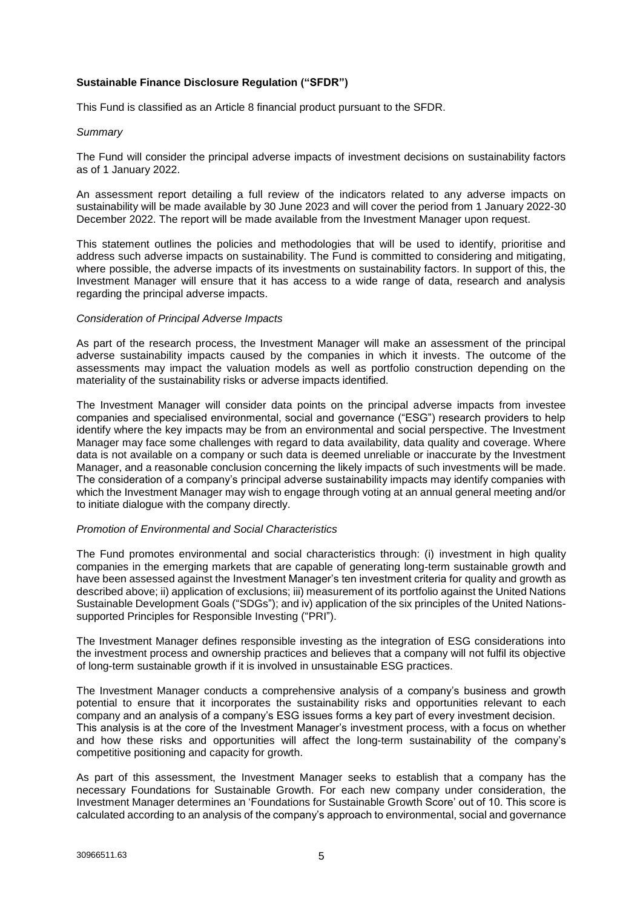# **Sustainable Finance Disclosure Regulation ("SFDR")**

This Fund is classified as an Article 8 financial product pursuant to the SFDR.

#### *Summary*

The Fund will consider the principal adverse impacts of investment decisions on sustainability factors as of 1 January 2022.

An assessment report detailing a full review of the indicators related to any adverse impacts on sustainability will be made available by 30 June 2023 and will cover the period from 1 January 2022-30 December 2022. The report will be made available from the Investment Manager upon request.

This statement outlines the policies and methodologies that will be used to identify, prioritise and address such adverse impacts on sustainability. The Fund is committed to considering and mitigating, where possible, the adverse impacts of its investments on sustainability factors. In support of this, the Investment Manager will ensure that it has access to a wide range of data, research and analysis regarding the principal adverse impacts.

#### *Consideration of Principal Adverse Impacts*

As part of the research process, the Investment Manager will make an assessment of the principal adverse sustainability impacts caused by the companies in which it invests. The outcome of the assessments may impact the valuation models as well as portfolio construction depending on the materiality of the sustainability risks or adverse impacts identified.

The Investment Manager will consider data points on the principal adverse impacts from investee companies and specialised environmental, social and governance ("ESG") research providers to help identify where the key impacts may be from an environmental and social perspective. The Investment Manager may face some challenges with regard to data availability, data quality and coverage. Where data is not available on a company or such data is deemed unreliable or inaccurate by the Investment Manager, and a reasonable conclusion concerning the likely impacts of such investments will be made. The consideration of a company's principal adverse sustainability impacts may identify companies with which the Investment Manager may wish to engage through voting at an annual general meeting and/or to initiate dialogue with the company directly.

#### *Promotion of Environmental and Social Characteristics*

The Fund promotes environmental and social characteristics through: (i) investment in high quality companies in the emerging markets that are capable of generating long-term sustainable growth and have been assessed against the Investment Manager's ten investment criteria for quality and growth as described above; ii) application of exclusions; iii) measurement of its portfolio against the United Nations Sustainable Development Goals ("SDGs"); and iv) application of the six principles of the United Nationssupported Principles for Responsible Investing ("PRI").

The Investment Manager defines responsible investing as the integration of ESG considerations into the investment process and ownership practices and believes that a company will not fulfil its objective of long-term sustainable growth if it is involved in unsustainable ESG practices.

The Investment Manager conducts a comprehensive analysis of a company's business and growth potential to ensure that it incorporates the sustainability risks and opportunities relevant to each company and an analysis of a company's ESG issues forms a key part of every investment decision. This analysis is at the core of the Investment Manager's investment process, with a focus on whether and how these risks and opportunities will affect the long-term sustainability of the company's competitive positioning and capacity for growth.

As part of this assessment, the Investment Manager seeks to establish that a company has the necessary Foundations for Sustainable Growth. For each new company under consideration, the Investment Manager determines an 'Foundations for Sustainable Growth Score' out of 10. This score is calculated according to an analysis of the company's approach to environmental, social and governance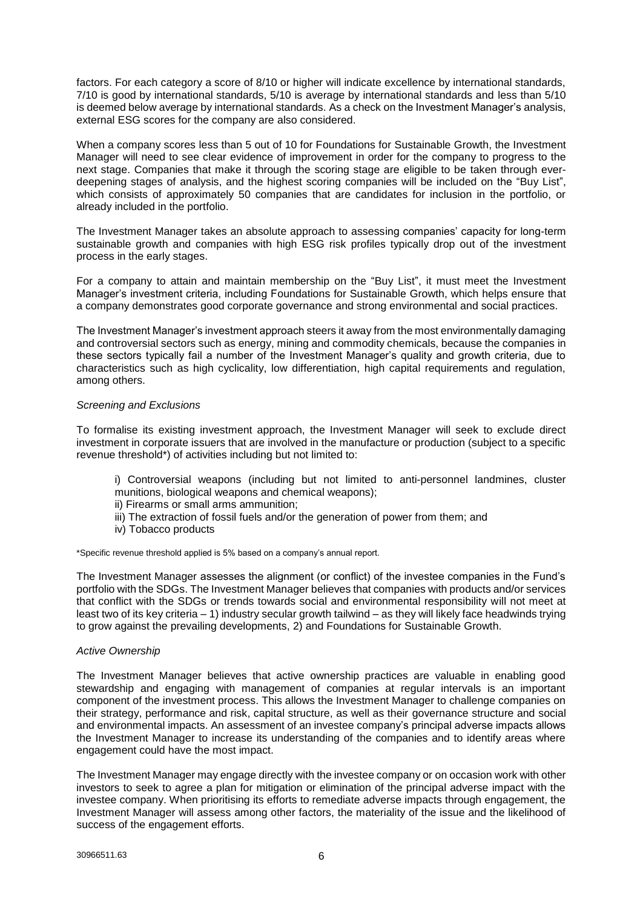factors. For each category a score of 8/10 or higher will indicate excellence by international standards, 7/10 is good by international standards, 5/10 is average by international standards and less than 5/10 is deemed below average by international standards. As a check on the Investment Manager's analysis, external ESG scores for the company are also considered.

When a company scores less than 5 out of 10 for Foundations for Sustainable Growth, the Investment Manager will need to see clear evidence of improvement in order for the company to progress to the next stage. Companies that make it through the scoring stage are eligible to be taken through everdeepening stages of analysis, and the highest scoring companies will be included on the "Buy List", which consists of approximately 50 companies that are candidates for inclusion in the portfolio, or already included in the portfolio.

The Investment Manager takes an absolute approach to assessing companies' capacity for long-term sustainable growth and companies with high ESG risk profiles typically drop out of the investment process in the early stages.

For a company to attain and maintain membership on the "Buy List", it must meet the Investment Manager's investment criteria, including Foundations for Sustainable Growth, which helps ensure that a company demonstrates good corporate governance and strong environmental and social practices.

The Investment Manager's investment approach steers it away from the most environmentally damaging and controversial sectors such as energy, mining and commodity chemicals, because the companies in these sectors typically fail a number of the Investment Manager's quality and growth criteria, due to characteristics such as high cyclicality, low differentiation, high capital requirements and regulation, among others.

# *Screening and Exclusions*

To formalise its existing investment approach, the Investment Manager will seek to exclude direct investment in corporate issuers that are involved in the manufacture or production (subject to a specific revenue threshold\*) of activities including but not limited to:

- i) Controversial weapons (including but not limited to anti-personnel landmines, cluster munitions, biological weapons and chemical weapons);
- ii) Firearms or small arms ammunition;
- iii) The extraction of fossil fuels and/or the generation of power from them; and
- iv) Tobacco products

\*Specific revenue threshold applied is 5% based on a company's annual report.

The Investment Manager assesses the alignment (or conflict) of the investee companies in the Fund's portfolio with the SDGs. The Investment Manager believes that companies with products and/or services that conflict with the SDGs or trends towards social and environmental responsibility will not meet at least two of its key criteria – 1) industry secular growth tailwind – as they will likely face headwinds trying to grow against the prevailing developments, 2) and Foundations for Sustainable Growth.

#### *Active Ownership*

The Investment Manager believes that active ownership practices are valuable in enabling good stewardship and engaging with management of companies at regular intervals is an important component of the investment process. This allows the Investment Manager to challenge companies on their strategy, performance and risk, capital structure, as well as their governance structure and social and environmental impacts. An assessment of an investee company's principal adverse impacts allows the Investment Manager to increase its understanding of the companies and to identify areas where engagement could have the most impact.

The Investment Manager may engage directly with the investee company or on occasion work with other investors to seek to agree a plan for mitigation or elimination of the principal adverse impact with the investee company. When prioritising its efforts to remediate adverse impacts through engagement, the Investment Manager will assess among other factors, the materiality of the issue and the likelihood of success of the engagement efforts.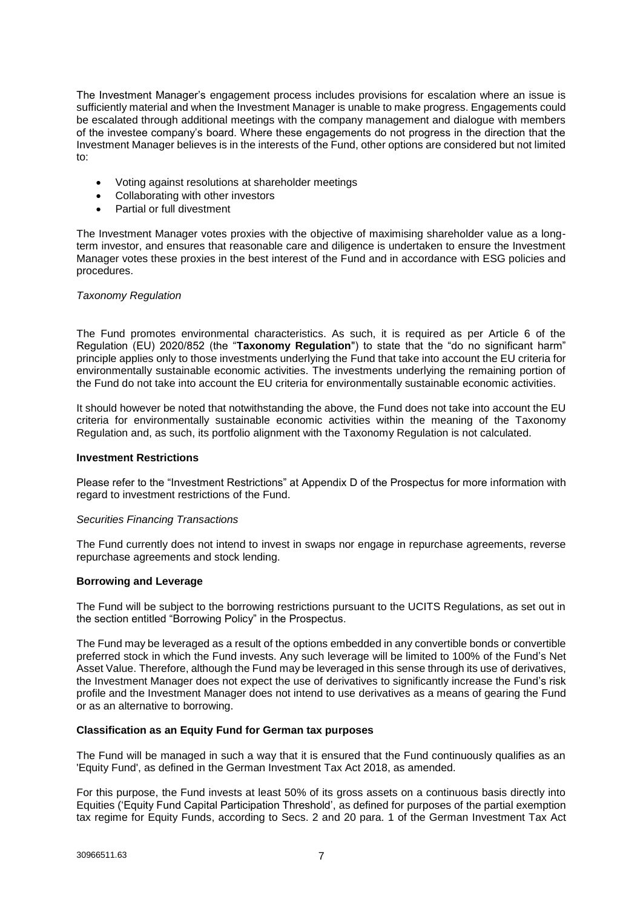The Investment Manager's engagement process includes provisions for escalation where an issue is sufficiently material and when the Investment Manager is unable to make progress. Engagements could be escalated through additional meetings with the company management and dialogue with members of the investee company's board. Where these engagements do not progress in the direction that the Investment Manager believes is in the interests of the Fund, other options are considered but not limited to:

- Voting against resolutions at shareholder meetings
- Collaborating with other investors
- Partial or full divestment

The Investment Manager votes proxies with the objective of maximising shareholder value as a longterm investor, and ensures that reasonable care and diligence is undertaken to ensure the Investment Manager votes these proxies in the best interest of the Fund and in accordance with ESG policies and procedures.

# *Taxonomy Regulation*

The Fund promotes environmental characteristics. As such, it is required as per Article 6 of the Regulation (EU) 2020/852 (the "**Taxonomy Regulation**") to state that the "do no significant harm" principle applies only to those investments underlying the Fund that take into account the EU criteria for environmentally sustainable economic activities. The investments underlying the remaining portion of the Fund do not take into account the EU criteria for environmentally sustainable economic activities.

It should however be noted that notwithstanding the above, the Fund does not take into account the EU criteria for environmentally sustainable economic activities within the meaning of the Taxonomy Regulation and, as such, its portfolio alignment with the Taxonomy Regulation is not calculated.

# **Investment Restrictions**

Please refer to the "Investment Restrictions" at Appendix D of the Prospectus for more information with regard to investment restrictions of the Fund.

#### *Securities Financing Transactions*

The Fund currently does not intend to invest in swaps nor engage in repurchase agreements, reverse repurchase agreements and stock lending.

#### **Borrowing and Leverage**

The Fund will be subject to the borrowing restrictions pursuant to the UCITS Regulations, as set out in the section entitled "Borrowing Policy" in the Prospectus.

The Fund may be leveraged as a result of the options embedded in any convertible bonds or convertible preferred stock in which the Fund invests. Any such leverage will be limited to 100% of the Fund's Net Asset Value. Therefore, although the Fund may be leveraged in this sense through its use of derivatives, the Investment Manager does not expect the use of derivatives to significantly increase the Fund's risk profile and the Investment Manager does not intend to use derivatives as a means of gearing the Fund or as an alternative to borrowing.

#### **Classification as an Equity Fund for German tax purposes**

The Fund will be managed in such a way that it is ensured that the Fund continuously qualifies as an 'Equity Fund', as defined in the German Investment Tax Act 2018, as amended.

For this purpose, the Fund invests at least 50% of its gross assets on a continuous basis directly into Equities ('Equity Fund Capital Participation Threshold', as defined for purposes of the partial exemption tax regime for Equity Funds, according to Secs. 2 and 20 para. 1 of the German Investment Tax Act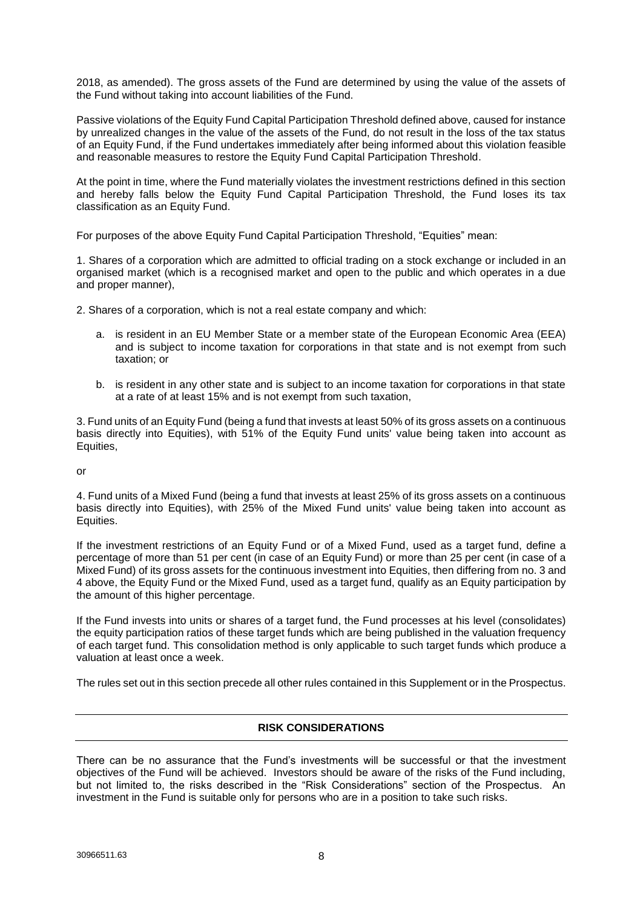2018, as amended). The gross assets of the Fund are determined by using the value of the assets of the Fund without taking into account liabilities of the Fund.

Passive violations of the Equity Fund Capital Participation Threshold defined above, caused for instance by unrealized changes in the value of the assets of the Fund, do not result in the loss of the tax status of an Equity Fund, if the Fund undertakes immediately after being informed about this violation feasible and reasonable measures to restore the Equity Fund Capital Participation Threshold.

At the point in time, where the Fund materially violates the investment restrictions defined in this section and hereby falls below the Equity Fund Capital Participation Threshold, the Fund loses its tax classification as an Equity Fund.

For purposes of the above Equity Fund Capital Participation Threshold, "Equities" mean:

1. Shares of a corporation which are admitted to official trading on a stock exchange or included in an organised market (which is a recognised market and open to the public and which operates in a due and proper manner),

2. Shares of a corporation, which is not a real estate company and which:

- a. is resident in an EU Member State or a member state of the European Economic Area (EEA) and is subject to income taxation for corporations in that state and is not exempt from such taxation; or
- b. is resident in any other state and is subject to an income taxation for corporations in that state at a rate of at least 15% and is not exempt from such taxation,

3. Fund units of an Equity Fund (being a fund that invests at least 50% of its gross assets on a continuous basis directly into Equities), with 51% of the Equity Fund units' value being taken into account as Equities,

or

4. Fund units of a Mixed Fund (being a fund that invests at least 25% of its gross assets on a continuous basis directly into Equities), with 25% of the Mixed Fund units' value being taken into account as Equities.

If the investment restrictions of an Equity Fund or of a Mixed Fund, used as a target fund, define a percentage of more than 51 per cent (in case of an Equity Fund) or more than 25 per cent (in case of a Mixed Fund) of its gross assets for the continuous investment into Equities, then differing from no. 3 and 4 above, the Equity Fund or the Mixed Fund, used as a target fund, qualify as an Equity participation by the amount of this higher percentage.

If the Fund invests into units or shares of a target fund, the Fund processes at his level (consolidates) the equity participation ratios of these target funds which are being published in the valuation frequency of each target fund. This consolidation method is only applicable to such target funds which produce a valuation at least once a week.

<span id="page-8-0"></span>The rules set out in this section precede all other rules contained in this Supplement or in the Prospectus.

# **RISK CONSIDERATIONS**

There can be no assurance that the Fund's investments will be successful or that the investment objectives of the Fund will be achieved. Investors should be aware of the risks of the Fund including, but not limited to, the risks described in the "Risk Considerations" section of the Prospectus. An investment in the Fund is suitable only for persons who are in a position to take such risks.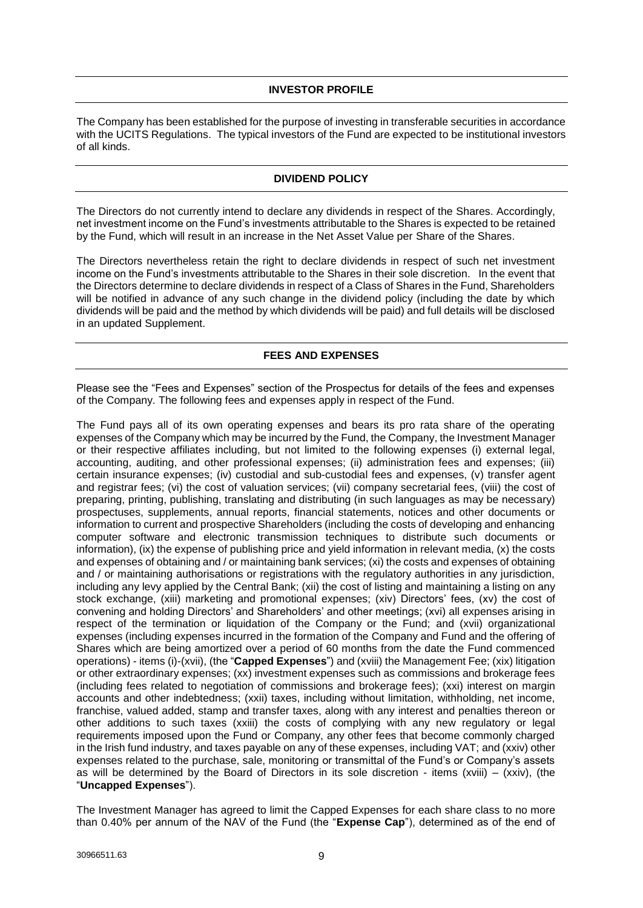# **INVESTOR PROFILE**

<span id="page-9-0"></span>The Company has been established for the purpose of investing in transferable securities in accordance with the UCITS Regulations. The typical investors of the Fund are expected to be institutional investors of all kinds.

# **DIVIDEND POLICY**

<span id="page-9-1"></span>The Directors do not currently intend to declare any dividends in respect of the Shares. Accordingly, net investment income on the Fund's investments attributable to the Shares is expected to be retained by the Fund, which will result in an increase in the Net Asset Value per Share of the Shares.

The Directors nevertheless retain the right to declare dividends in respect of such net investment income on the Fund's investments attributable to the Shares in their sole discretion. In the event that the Directors determine to declare dividends in respect of a Class of Shares in the Fund, Shareholders will be notified in advance of any such change in the dividend policy (including the date by which dividends will be paid and the method by which dividends will be paid) and full details will be disclosed in an updated Supplement.

# **FEES AND EXPENSES**

<span id="page-9-2"></span>Please see the "Fees and Expenses" section of the Prospectus for details of the fees and expenses of the Company. The following fees and expenses apply in respect of the Fund.

The Fund pays all of its own operating expenses and bears its pro rata share of the operating expenses of the Company which may be incurred by the Fund, the Company, the Investment Manager or their respective affiliates including, but not limited to the following expenses (i) external legal, accounting, auditing, and other professional expenses; (ii) administration fees and expenses; (iii) certain insurance expenses; (iv) custodial and sub-custodial fees and expenses, (v) transfer agent and registrar fees; (vi) the cost of valuation services; (vii) company secretarial fees, (viii) the cost of preparing, printing, publishing, translating and distributing (in such languages as may be necessary) prospectuses, supplements, annual reports, financial statements, notices and other documents or information to current and prospective Shareholders (including the costs of developing and enhancing computer software and electronic transmission techniques to distribute such documents or information), (ix) the expense of publishing price and yield information in relevant media, (x) the costs and expenses of obtaining and / or maintaining bank services; (xi) the costs and expenses of obtaining and / or maintaining authorisations or registrations with the regulatory authorities in any jurisdiction, including any levy applied by the Central Bank; (xii) the cost of listing and maintaining a listing on any stock exchange, (xiii) marketing and promotional expenses; (xiv) Directors' fees, (xv) the cost of convening and holding Directors' and Shareholders' and other meetings; (xvi) all expenses arising in respect of the termination or liquidation of the Company or the Fund; and (xvii) organizational expenses (including expenses incurred in the formation of the Company and Fund and the offering of Shares which are being amortized over a period of 60 months from the date the Fund commenced operations) - items (i)-(xvii), (the "**Capped Expenses**") and (xviii) the Management Fee; (xix) litigation or other extraordinary expenses; (xx) investment expenses such as commissions and brokerage fees (including fees related to negotiation of commissions and brokerage fees); (xxi) interest on margin accounts and other indebtedness; (xxii) taxes, including without limitation, withholding, net income, franchise, valued added, stamp and transfer taxes, along with any interest and penalties thereon or other additions to such taxes (xxiii) the costs of complying with any new regulatory or legal requirements imposed upon the Fund or Company, any other fees that become commonly charged in the Irish fund industry, and taxes payable on any of these expenses, including VAT; and (xxiv) other expenses related to the purchase, sale, monitoring or transmittal of the Fund's or Company's assets as will be determined by the Board of Directors in its sole discretion - items (xviii) – (xxiv), (the "**Uncapped Expenses**").

The Investment Manager has agreed to limit the Capped Expenses for each share class to no more than 0.40% per annum of the NAV of the Fund (the "**Expense Cap**"), determined as of the end of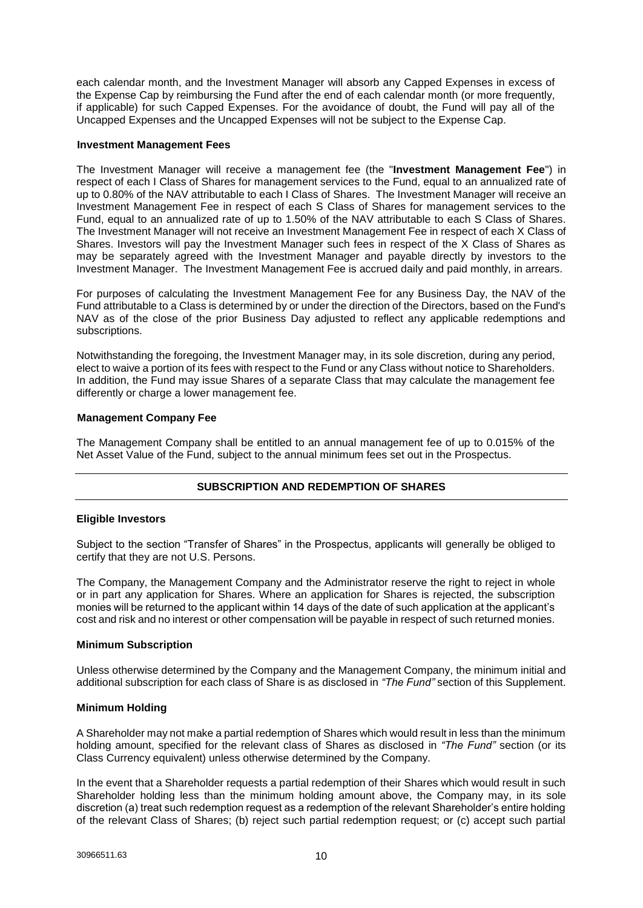each calendar month, and the Investment Manager will absorb any Capped Expenses in excess of the Expense Cap by reimbursing the Fund after the end of each calendar month (or more frequently, if applicable) for such Capped Expenses. For the avoidance of doubt, the Fund will pay all of the Uncapped Expenses and the Uncapped Expenses will not be subject to the Expense Cap.

#### **Investment Management Fees**

The Investment Manager will receive a management fee (the "**Investment Management Fee**") in respect of each I Class of Shares for management services to the Fund, equal to an annualized rate of up to 0.80% of the NAV attributable to each I Class of Shares. The Investment Manager will receive an Investment Management Fee in respect of each S Class of Shares for management services to the Fund, equal to an annualized rate of up to 1.50% of the NAV attributable to each S Class of Shares. The Investment Manager will not receive an Investment Management Fee in respect of each X Class of Shares. Investors will pay the Investment Manager such fees in respect of the X Class of Shares as may be separately agreed with the Investment Manager and payable directly by investors to the Investment Manager. The Investment Management Fee is accrued daily and paid monthly, in arrears.

For purposes of calculating the Investment Management Fee for any Business Day, the NAV of the Fund attributable to a Class is determined by or under the direction of the Directors, based on the Fund's NAV as of the close of the prior Business Day adjusted to reflect any applicable redemptions and subscriptions.

Notwithstanding the foregoing, the Investment Manager may, in its sole discretion, during any period, elect to waive a portion of its fees with respect to the Fund or any Class without notice to Shareholders. In addition, the Fund may issue Shares of a separate Class that may calculate the management fee differently or charge a lower management fee.

# **Management Company Fee**

<span id="page-10-0"></span>The Management Company shall be entitled to an annual management fee of up to 0.015% of the Net Asset Value of the Fund, subject to the annual minimum fees set out in the Prospectus.

# **SUBSCRIPTION AND REDEMPTION OF SHARES**

# **Eligible Investors**

Subject to the section "Transfer of Shares" in the Prospectus, applicants will generally be obliged to certify that they are not U.S. Persons.

The Company, the Management Company and the Administrator reserve the right to reject in whole or in part any application for Shares. Where an application for Shares is rejected, the subscription monies will be returned to the applicant within 14 days of the date of such application at the applicant's cost and risk and no interest or other compensation will be payable in respect of such returned monies.

#### **Minimum Subscription**

Unless otherwise determined by the Company and the Management Company, the minimum initial and additional subscription for each class of Share is as disclosed in *"The Fund"* section of this Supplement.

# **Minimum Holding**

A Shareholder may not make a partial redemption of Shares which would result in less than the minimum holding amount, specified for the relevant class of Shares as disclosed in *"The Fund"* section (or its Class Currency equivalent) unless otherwise determined by the Company.

In the event that a Shareholder requests a partial redemption of their Shares which would result in such Shareholder holding less than the minimum holding amount above, the Company may, in its sole discretion (a) treat such redemption request as a redemption of the relevant Shareholder's entire holding of the relevant Class of Shares; (b) reject such partial redemption request; or (c) accept such partial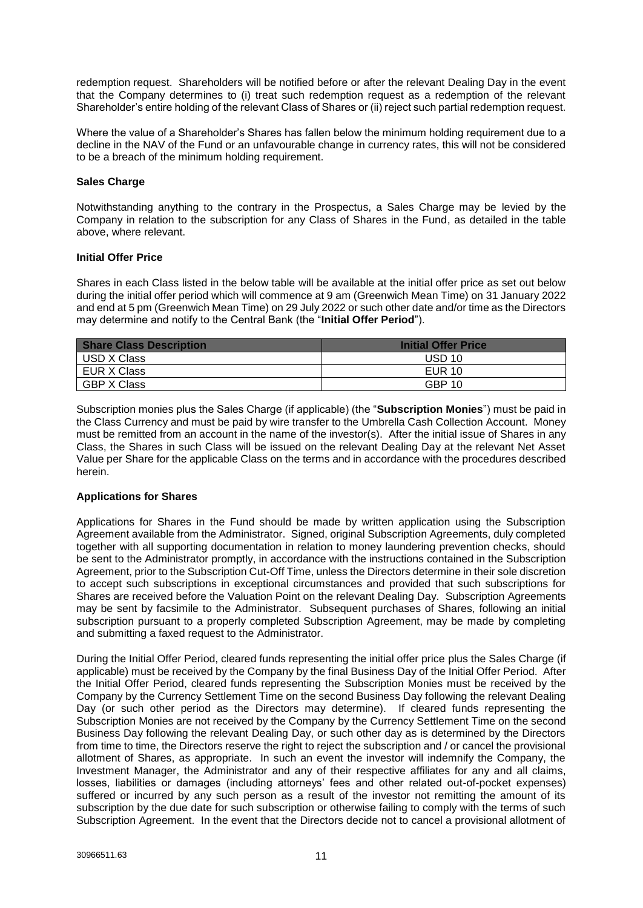redemption request. Shareholders will be notified before or after the relevant Dealing Day in the event that the Company determines to (i) treat such redemption request as a redemption of the relevant Shareholder's entire holding of the relevant Class of Shares or (ii) reject such partial redemption request.

Where the value of a Shareholder's Shares has fallen below the minimum holding requirement due to a decline in the NAV of the Fund or an unfavourable change in currency rates, this will not be considered to be a breach of the minimum holding requirement.

# **Sales Charge**

Notwithstanding anything to the contrary in the Prospectus, a Sales Charge may be levied by the Company in relation to the subscription for any Class of Shares in the Fund, as detailed in the table above, where relevant.

# **Initial Offer Price**

Shares in each Class listed in the below table will be available at the initial offer price as set out below during the initial offer period which will commence at 9 am (Greenwich Mean Time) on 31 January 2022 and end at 5 pm (Greenwich Mean Time) on 29 July 2022 or such other date and/or time as the Directors may determine and notify to the Central Bank (the "**Initial Offer Period**").

| <b>Share Class Description</b> | <b>Initial Offer Price</b> |
|--------------------------------|----------------------------|
| USD X Class                    | USD 10                     |
| EUR X Class                    | <b>EUR 10</b>              |
| <b>GBP X Class</b>             | <b>GBP 10</b>              |

Subscription monies plus the Sales Charge (if applicable) (the "**Subscription Monies**") must be paid in the Class Currency and must be paid by wire transfer to the Umbrella Cash Collection Account. Money must be remitted from an account in the name of the investor(s). After the initial issue of Shares in any Class, the Shares in such Class will be issued on the relevant Dealing Day at the relevant Net Asset Value per Share for the applicable Class on the terms and in accordance with the procedures described herein.

# **Applications for Shares**

Applications for Shares in the Fund should be made by written application using the Subscription Agreement available from the Administrator. Signed, original Subscription Agreements, duly completed together with all supporting documentation in relation to money laundering prevention checks, should be sent to the Administrator promptly, in accordance with the instructions contained in the Subscription Agreement, prior to the Subscription Cut-Off Time, unless the Directors determine in their sole discretion to accept such subscriptions in exceptional circumstances and provided that such subscriptions for Shares are received before the Valuation Point on the relevant Dealing Day. Subscription Agreements may be sent by facsimile to the Administrator. Subsequent purchases of Shares, following an initial subscription pursuant to a properly completed Subscription Agreement, may be made by completing and submitting a faxed request to the Administrator.

During the Initial Offer Period, cleared funds representing the initial offer price plus the Sales Charge (if applicable) must be received by the Company by the final Business Day of the Initial Offer Period. After the Initial Offer Period, cleared funds representing the Subscription Monies must be received by the Company by the Currency Settlement Time on the second Business Day following the relevant Dealing Day (or such other period as the Directors may determine). If cleared funds representing the Subscription Monies are not received by the Company by the Currency Settlement Time on the second Business Day following the relevant Dealing Day, or such other day as is determined by the Directors from time to time, the Directors reserve the right to reject the subscription and / or cancel the provisional allotment of Shares, as appropriate. In such an event the investor will indemnify the Company, the Investment Manager, the Administrator and any of their respective affiliates for any and all claims, losses, liabilities or damages (including attorneys' fees and other related out-of-pocket expenses) suffered or incurred by any such person as a result of the investor not remitting the amount of its subscription by the due date for such subscription or otherwise failing to comply with the terms of such Subscription Agreement. In the event that the Directors decide not to cancel a provisional allotment of